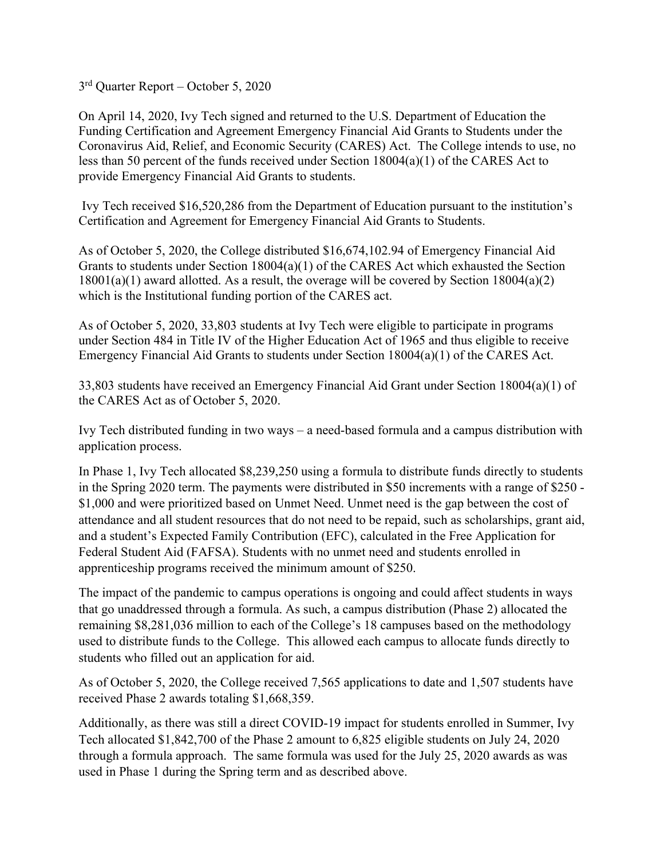3rd Quarter Report – October 5, 2020

On April 14, 2020, Ivy Tech signed and returned to the U.S. Department of Education the Funding Certification and Agreement Emergency Financial Aid Grants to Students under the Coronavirus Aid, Relief, and Economic Security (CARES) Act. The College intends to use, no less than 50 percent of the funds received under Section 18004(a)(1) of the CARES Act to provide Emergency Financial Aid Grants to students.

Ivy Tech received \$16,520,286 from the Department of Education pursuant to the institution's Certification and Agreement for Emergency Financial Aid Grants to Students.

As of October 5, 2020, the College distributed \$16,674,102.94 of Emergency Financial Aid Grants to students under Section 18004(a)(1) of the CARES Act which exhausted the Section 18001(a)(1) award allotted. As a result, the overage will be covered by Section 18004(a)(2) which is the Institutional funding portion of the CARES act.

As of October 5, 2020, 33,803 students at Ivy Tech were eligible to participate in programs under Section 484 in Title IV of the Higher Education Act of 1965 and thus eligible to receive Emergency Financial Aid Grants to students under Section 18004(a)(1) of the CARES Act.

33,803 students have received an Emergency Financial Aid Grant under Section 18004(a)(1) of the CARES Act as of October 5, 2020.

Ivy Tech distributed funding in two ways – a need-based formula and a campus distribution with application process.

In Phase 1, Ivy Tech allocated \$8,239,250 using a formula to distribute funds directly to students in the Spring 2020 term. The payments were distributed in \$50 increments with a range of \$250 - \$1,000 and were prioritized based on Unmet Need. Unmet need is the gap between the cost of attendance and all student resources that do not need to be repaid, such as scholarships, grant aid, and a student's Expected Family Contribution (EFC), calculated in the Free Application for Federal Student Aid (FAFSA). Students with no unmet need and students enrolled in apprenticeship programs received the minimum amount of \$250.

The impact of the pandemic to campus operations is ongoing and could affect students in ways that go unaddressed through a formula. As such, a campus distribution (Phase 2) allocated the remaining \$8,281,036 million to each of the College's 18 campuses based on the methodology used to distribute funds to the College. This allowed each campus to allocate funds directly to students who filled out an application for aid.

As of October 5, 2020, the College received 7,565 applications to date and 1,507 students have received Phase 2 awards totaling \$1,668,359.

Additionally, as there was still a direct COVID-19 impact for students enrolled in Summer, Ivy Tech allocated \$1,842,700 of the Phase 2 amount to 6,825 eligible students on July 24, 2020 through a formula approach. The same formula was used for the July 25, 2020 awards as was used in Phase 1 during the Spring term and as described above.